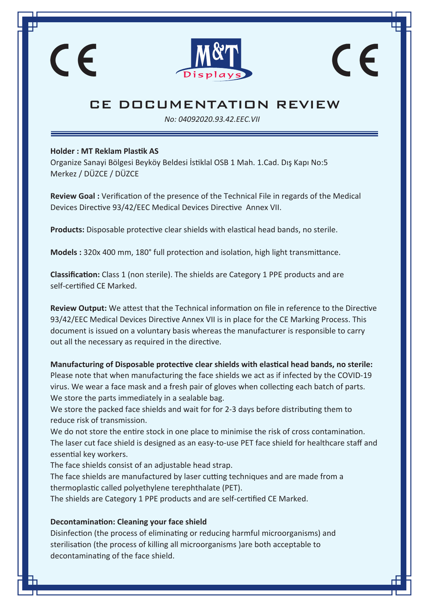

# $\epsilon$

**Holder : MT Reklam Plastik AS** 

CE

Organize Sanayi Bölgesi Beyköy Beldesi İstiklal OSB 1 Mah. 1.Cad. Dış Kapı No:5 Merkez / DÜZCE / DÜZCE

**Review Goal :** Verification of the presence of the Technical File in regards of the Medical Devices Directive 93/42/EEC Medical Devices Directive Annex VII.

**Products:** Disposable protective clear shields with elastical head bands, no sterile.

**Models :** 320x 400 mm, 180° full protection and isolation, high light transmittance.

**Classification:** Class 1 (non sterile). The shields are Category 1 PPE products and are self-certified CE Marked.

**Review Output:** We attest that the Technical information on file in reference to the Directive 93/42/EEC Medical Devices Directive Annex VII is in place for the CE Marking Process. This document is issued on a voluntary basis whereas the manufacturer is responsible to carry out all the necessary as required in the directive.

**Manufacturing of Disposable protective clear shields with elastical head bands, no sterile:** Please note that when manufacturing the face shields we act as if infected by the COVID-19 virus. We wear a face mask and a fresh pair of gloves when collecting each batch of parts. We store the parts immediately in a sealable bag.

We store the packed face shields and wait for for 2-3 days before distributing them to reduce risk of transmission.

We do not store the entire stock in one place to minimise the risk of cross contamination. The laser cut face shield is designed as an easy-to-use PET face shield for healthcare staff and essential key workers.

The face shields consist of an adjustable head strap. The face shields are manufactured by laser cutting techniques and are made from a thermoplastic called polyethylene terephthalate (PET). The shields are Category 1 PPE products and are self-certified CE Marked.

#### **Decontamination: Cleaning your face shield**

Disinfection (the process of eliminating or reducing harmful microorganisms) and sterilisation (the process of killing all microorganisms )are both acceptable to decontaminating of the face shield.

*No: 04092020.93.42.EEC.VII*

## CE DOCUMENTATION REVIEW